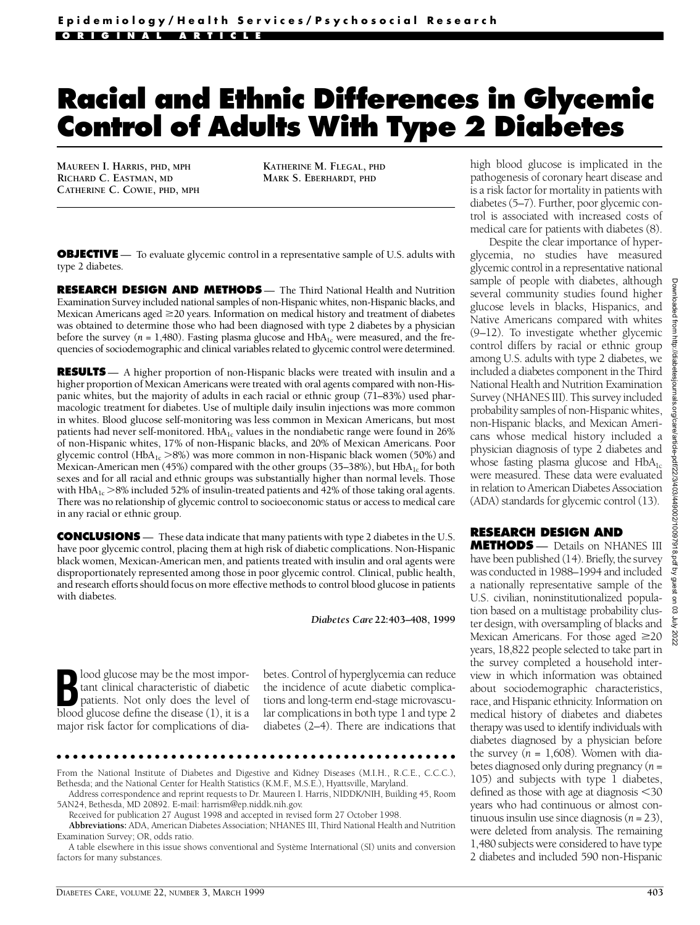## **Racial and Ethnic Differences in Glycemic Control of Adults With Type 2 Diabetes**

**MAUREEN I. HARRIS, PHD, MPH RICHARD C. EASTMAN, MD CATHERINE C. COWIE, PHD, MPH** **KATHERINE M. FLEGAL, PHD MARK S. EBERHARDT, PHD**

**OBJECTIVE** — To evaluate glycemic control in a representative sample of U.S. adults with type 2 diabetes.

**RESEARCH DESIGN AND METHODS** - The Third National Health and Nutrition Examination Survey included national samples of non-Hispanic whites, non-Hispanic blacks, and Mexican Americans aged  $\geq$  20 years. Information on medical history and treatment of diabetes was obtained to determine those who had been diagnosed with type 2 diabetes by a physician before the survey ( $n = 1,480$ ). Fasting plasma glucose and HbA<sub>1c</sub> were measured, and the frequencies of sociodemographic and clinical variables related to glycemic control were determined.

**RESULTS** — A higher proportion of non-Hispanic blacks were treated with insulin and a higher proportion of Mexican Americans were treated with oral agents compared with non-Hispanic whites, but the majority of adults in each racial or ethnic group (71–83%) used pharmacologic treatment for diabetes. Use of multiple daily insulin injections was more common in whites. Blood glucose self-monitoring was less common in Mexican Americans, but most patients had never self-monitored.  $HbA_{1c}$  values in the nondiabetic range were found in 26% of non-Hispanic whites, 17% of non-Hispanic blacks, and 20% of Mexican Americans. Poor glycemic control (HbA<sub>1c</sub>  $>8\%$ ) was more common in non-Hispanic black women (50%) and Mexican-American men (45%) compared with the other groups (35–38%), but  $HbA_{1c}$  for both sexes and for all racial and ethnic groups was substantially higher than normal levels. Those with HbA<sub>1c</sub>  $>8\%$  included 52% of insulin-treated patients and 42% of those taking oral agents. There was no relationship of glycemic control to socioeconomic status or access to medical care in any racial or ethnic group.

**CONCLUSIONS** — These data indicate that many patients with type 2 diabetes in the U.S. have poor glycemic control, placing them at high risk of diabetic complications. Non-Hispanic black women, Mexican-American men, and patients treated with insulin and oral agents were disproportionately represented among those in poor glycemic control. Clinical, public health, and research efforts should focus on more effective methods to control blood glucose in patients with diabetes.

*Diabetes Care***22:403–408, 1999**

**B**lood glucose may be the most important clinical characteristic of diabetic patients. Not only does the level of blood glucose define the disease (1) it is a tant clinical characteristic of diabetic patients. Not only does the level of blood glucose define the disease (1), it is a major risk factor for complications of diabetes. Control of hyperglycemia can reduce the incidence of acute diabetic complications and long-term end-stage microvascular complications in both type 1 and type 2 diabetes (2–4). There are indications that

From the National Institute of Diabetes and Digestive and Kidney Diseases (M.I.H., R.C.E., C.C.C.), Bethesda; and the National Center for Health Statistics (K.M.F., M.S.E.), Hyattsville, Maryland.

Address correspondence and reprint requests to Dr. Maureen I. Harris, NIDDK/NIH, Building 45, Room 5AN24, Bethesda, MD 20892. E-mail: harrism@ep.niddk.nih.gov.

Received for publication 27 August 1998 and accepted in revised form 27 October 1998.

**A b b reviations:** ADA, American Diabetes Association; NHANES III, Third National Health and Nutrition Examination Survey; OR, odds ratio.

A table elsewhere in this issue shows conventional and Système International (SI) units and conversion factors for many substances.

high blood glucose is implicated in the pathogenesis of coronary heart disease and is a risk factor for mortality in patients with diabetes (5–7). Further, poor glycemic control is associated with increased costs of medical care for patients with diabetes (8).

Despite the clear importance of hyperglycemia, no studies have measured glycemic control in a representative national sample of people with diabetes, although several community studies found higher glucose levels in blacks, Hispanics, and Native Americans compared with whites (9–12). To investigate whether glycemic control differs by racial or ethnic group among U.S. adults with type 2 diabetes, we included a diabetes component in the Third National Health and Nutrition Examination Survey (NHANES III). This survey included p robability samples of non-Hispanic whites, non-Hispanic blacks, and Mexican Americans whose medical history included a physician diagnosis of type 2 diabetes and whose fasting plasma glucose and  $HbA_{1c}$ were measured. These data were evaluated in relation to American Diabetes Association (ADA) standards for glycemic control (13).

## **RESEARCH DESIGN AND**

**METHODS** — Details on NHANES III have been published (14). Briefly, the survey was conducted in 1988–1994 and included a nationally representative sample of the U.S. civilian, noninstitutionalized population based on a multistage probability cluster design, with oversampling of blacks and Mexican Americans. For those aged  $\geq 20$ years, 18,822 people selected to take part in the survey completed a household interview in which information was obtained about sociodemographic characteristics, race, and Hispanic ethnicity. Information on medical history of diabetes and diabetes therapy was used to identify individuals with diabetes diagnosed by a physician before the survey  $(n = 1,608)$ . Women with diabetes diagnosed only during pregnancy (*n*= 105) and subjects with type 1 diabetes, defined as those with age at diagnosis  $<$ 30 years who had continuous or almost continuous insulin use since diagnosis (*n*= 23), were deleted from analysis. The remaining 1,480 subjects were considered to have type 2 diabetes and included 590 non-Hispanic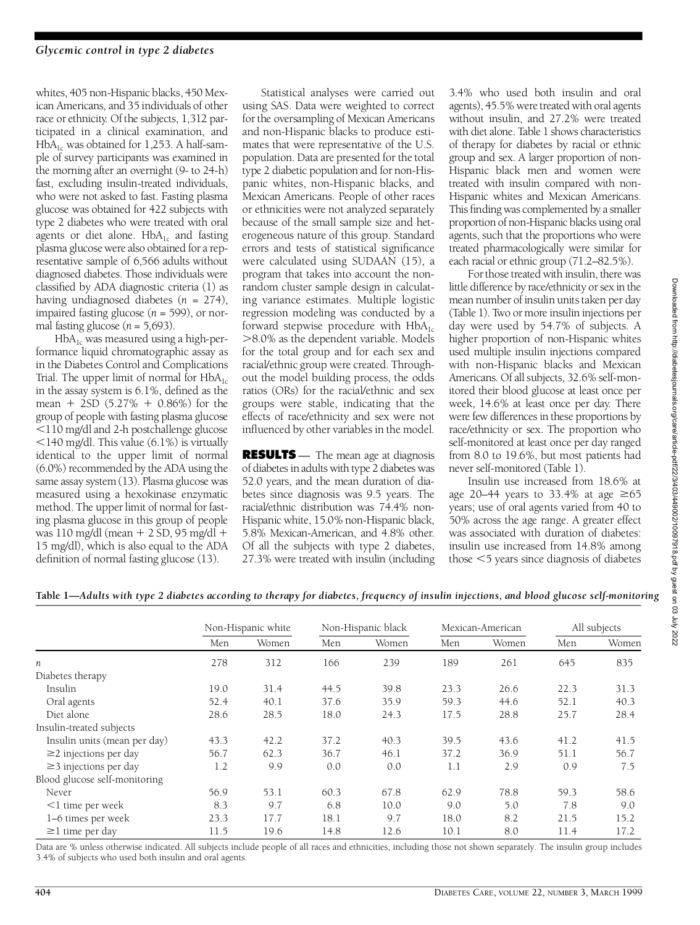whites, 405 non-Hispanic blacks, 450 Mexican Americans, and 35 individuals of other race or ethnicity. Of the subjects, 1,312 participated in a clinical examination, and  $HbA_{1c}$  was obtained for 1,253. A half-sample of survey participants was examined in the morning after an overnight (9- to 24-h) fast, excluding insulin-treated individuals, who were not asked to fast. Fasting plasma glucose was obtained for 422 subjects with type 2 diabetes who were treated with oral agents or diet alone.  $HbA_{1c}$  and fasting plasma glucose were also obtained for a representative sample of 6,566 adults without diagnosed diabetes. Those individuals were classified by ADA diagnostic criteria (1) as having undiagnosed diabetes (*n* = 274), impaired fasting glucose  $(n = 599)$ , or normal fasting glucose  $(n = 5,693)$ .

 $H b A<sub>1c</sub>$  was measured using a high-performance liquid chromatographic assay as in the Diabetes Control and Complications Trial. The upper limit of normal for  $HbA_{1c}$ in the assay system is 6.1%, defined as the mean + 2SD  $(5.27% + 0.86%)$  for the group of people with fasting plasma glucose ,110 mg/dl and 2-h postchallenge glucose  $<$ 140 mg/dl. This value (6.1%) is virtually identical to the upper limit of normal (6.0%) recommended by the ADA using the same assay system (13). Plasma glucose was measured using a hexokinase enzymatic method. The upper limit of normal for fasting plasma glucose in this group of people was  $110$  mg/dl (mean  $+ 2$  SD, 95 mg/dl  $+$ 15 mg/dl), which is also equal to the ADA definition of normal fasting glucose (13).

Statistical analyses were carried out using SAS. Data were weighted to correct for the oversampling of Mexican Americans and non-Hispanic blacks to produce estimates that were representative of the U.S. population. Data are presented for the total type 2 diabetic population and for non-Hispanic whites, non-Hispanic blacks, and Mexican Americans. People of other races or ethnicities were not analyzed separately because of the small sample size and hete rogeneous nature of this group. Standard errors and tests of statistical significance were calculated using SUDAAN (15), a program that takes into account the nonrandom cluster sample design in calculating variance estimates. Multiple logistic regression modeling was conducted by a forward stepwise procedure with  $HbA_{1c}$  $>8.0\%$  as the dependent variable. Models for the total group and for each sex and racial/ethnic group were created. Throughout the model building process, the odds ratios (ORs) for the racial/ethnic and sex groups were stable, indicating that the e ffects of race/ethnicity and sex were not influenced by other variables in the model.

**RESULTS** — The mean age at diagnosis of diabetes in adults with type 2 diabetes was 52.0 years, and the mean duration of diabetes since diagnosis was 9.5 years. The racial/ethnic distribution was 74.4% non-Hispanic white, 15.0% non-Hispanic black, 5.8% Mexican-American, and 4.8% other. Of all the subjects with type 2 diabetes, 27.3% were treated with insulin (including 3.4% who used both insulin and oral agents), 45.5% were treated with oral agents without insulin, and 27.2% were treated with diet alone. Table 1 shows characteristics of therapy for diabetes by racial or ethnic group and sex. A larger proportion of non-Hispanic black men and women were treated with insulin compared with non-Hispanic whites and Mexican Americans. This finding was complemented by a smaller proportion of non-Hispanic blacks using oral agents, such that the proportions who were treated pharmacologically were similar for each racial or ethnic group (71.2–82.5%).

For those treated with insulin, there was little difference by race/ethnicity or sex in the mean number of insulin units taken per day ( Table 1). Two or more insulin injections per day were used by 54.7% of subjects. A higher proportion of non-Hispanic whites used multiple insulin injections compared with non-Hispanic blacks and Mexican Americans. Of all subjects, 32.6% self-monitored their blood glucose at least once per week, 14.6% at least once per day. There were few differences in these proportions by race/ethnicity or sex. The proportion who self-monitored at least once per day ranged from 8.0 to 19.6%, but most patients had never self-monitored (Table 1).

Insulin use increased from 18.6% at age 20–44 years to 33.4% at age  $\geq 65$ years; use of oral agents varied from 40 to 50% across the age range. A greater effect was associated with duration of diabetes: insulin use increased from 14.8% among those  $<$  5 years since diagnosis of diabetes

| Table 1—Adults with type 2 diabetes according to therapy for diabetes, frequency of insulin injections, and blood glucose self-monitoring |  |  |
|-------------------------------------------------------------------------------------------------------------------------------------------|--|--|
|                                                                                                                                           |  |  |

|                               | Non-Hispanic white |       | Non-Hispanic black |       | Mexican-American |       | All subjects |       |
|-------------------------------|--------------------|-------|--------------------|-------|------------------|-------|--------------|-------|
|                               | Men                | Women | Men                | Women | Men              | Women | Men          | Women |
| n                             | 278                | 312   | 166                | 239   | 189              | 261   | 645          | 835   |
| Diabetes therapy              |                    |       |                    |       |                  |       |              |       |
| Insulin                       | 19.0               | 31.4  | 44.5               | 39.8  | 23.3             | 26.6  | 22.3         | 31.3  |
| Oral agents                   | 52.4               | 40.1  | 37.6               | 35.9  | 59.3             | 44.6  | 52.1         | 40.3  |
| Diet alone                    | 28.6               | 28.5  | 18.0               | 24.3  | 17.5             | 28.8  | 25.7         | 28.4  |
| Insulin-treated subjects      |                    |       |                    |       |                  |       |              |       |
| Insulin units (mean per day)  | 43.3               | 42.2  | 37.2               | 40.3  | 39.5             | 43.6  | 41.2         | 41.5  |
| $\geq$ 2 injections per day   | 56.7               | 62.3  | 36.7               | 46.1  | 37.2             | 36.9  | 51.1         | 56.7  |
| $\geq$ 3 injections per day   | 1.2                | 9.9   | 0.0                | 0.0   | 1.1              | 2.9   | 0.9          | 7.5   |
| Blood glucose self-monitoring |                    |       |                    |       |                  |       |              |       |
| Never                         | 56.9               | 53.1  | 60.3               | 67.8  | 62.9             | 78.8  | 59.3         | 58.6  |
| $<$ 1 time per week           | 8.3                | 9.7   | 6.8                | 10.0  | 9.0              | 5.0   | 7.8          | 9.0   |
| 1–6 times per week            | 23.3               | 17.7  | 18.1               | 9.7   | 18.0             | 8.2   | 21.5         | 15.2  |
| $\geq$ 1 time per day         | 11.5               | 19.6  | 14.8               | 12.6  | 10.1             | 8.0   | 11.4         | 17.2  |

Data are % unless otherwise indicated. All subjects include people of all races and ethnicities, including those not shown separately. The insulin group includes 3.4% of subjects who used both insulin and oral agents.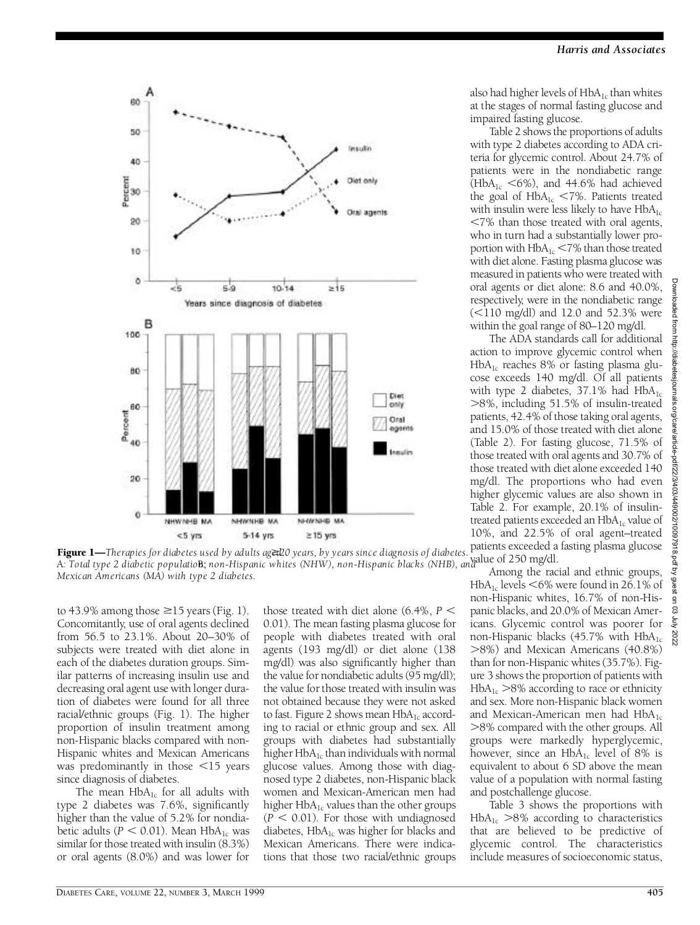63 γψ 202



**A: Total type 2 diabetic population;** non-Hispanic whites (NHW), non-Hispanic blacks (NHB), and allue of 250 mg/dl. Figure 1-Therapies for diabetes used by adults aget20 years, by years since diagnosis of diabetes. *Mexican Americans (MA) with type 2 diabetes.*

to 43.9% among those  $\geq$ 15 years (Fig. 1). Concomitantly, use of oral agents declined f rom 56.5 to 23.1%. About 20–30% of subjects were treated with diet alone in each of the diabetes duration groups. Similar patterns of increasing insulin use and decreasing oral agent use with longer duration of diabetes were found for all three racial/ethnic groups (Fig. 1). The higher proportion of insulin treatment among non-Hispanic blacks compared with non-Hispanic whites and Mexican Americans was predominantly in those  $\leq$ 15 years since diagnosis of diabetes.

The mean  $HbA_{1c}$  for all adults with type 2 diabetes was  $7.6\%$ , significantly higher than the value of 5.2% for nondiabetic adults ( $P < 0.01$ ). Mean HbA<sub>1c</sub> was similar for those treated with insulin (8.3%) or oral agents (8.0%) and was lower for

those treated with diet alone  $(6.4\% , P \leq )$ 0.01). The mean fasting plasma glucose for people with diabetes treated with oral agents (193 mg/dl) or diet alone (138 mg/dl) was also significantly higher than the value for nondiabetic adults (95 mg/dl); the value for those treated with insulin was not obtained because they were not asked to fast. Figure 2 shows mean  $HbA_{1c}$  according to racial or ethnic group and sex. All groups with diabetes had substantially higher  $HbA_{1c}$  than individuals with normal glucose values. Among those with diagnosed type 2 diabetes, non-Hispanic black women and Mexican-American men had higher  $HbA_{1c}$  values than the other groups  $(P < 0.01)$ . For those with undiagnosed diabetes,  $HbA_{1c}$  was higher for blacks and Mexican Americans. There were indications that those two racial/ethnic groups also had higher levels of  $HbA_{1c}$  than whites at the stages of normal fasting glucose and impaired fasting glucose.

*Harris and Associates*

Table 2 shows the proportions of adults with type 2 diabetes according to ADA criteria for glycemic control. About 24.7% of patients were in the nondiabetic range ( $H b A_{1c}$  <6%), and 44.6% had achieved the goal of  $HbA_{1c}$  <7%. Patients treated with insulin were less likely to have  $HbA_{1c}$  $<$ 7% than those treated with oral agents, who in turn had a substantially lower proportion with  $HbA_{1c}$  <7% than those treated with diet alone. Fasting plasma glucose was measured in patients who were treated with oral agents or diet alone: 8.6 and 40.0%, respectively, were in the nondiabetic range  $\approx$  110 mg/dl) and 12.0 and 52.3% were within the goal range of 80–120 mg/dl.

The ADA standards call for additional action to improve glycemic control when  $HbA_{1c}$  reaches 8% or fasting plasma glucose exceeds 140 mg/dl. Of all patients with type 2 diabetes,  $37.1\%$  had HbA<sub>1c</sub> >8%, including 51.5% of insulin-treated patients, 42.4% of those taking oral agents, and 15.0% of those treated with diet alone ( Table 2). For fasting glucose, 71.5% of those treated with oral agents and 30.7% of those treated with diet alone exceeded 140 mg/dl. The proportions who had even higher glycemic values are also shown in Table 2. For example, 20.1% of insulintreated patients exceeded an  $HbA_{1c}$  value of  $10\%$ , and  $22.5\%$  of oral agent–treated patients exceeded a fasting plasma glucose

Among the racial and ethnic groups, HbA<sub>1</sub> levels  $<6\%$  were found in 26.1% of non-Hispanic whites, 16.7% of non-Hispanic blacks, and 20.0% of Mexican Americans. Glycemic control was poorer for non-Hispanic blacks (45.7% with  $HbA_{1c}$ .8%) and Mexican Americans (40.8%) than for non-Hispanic whites (35.7%). Figure 3 shows the proportion of patients with  $H b A_{1c}$  >8% according to race or ethnicity and sex. More non-Hispanic black women and Mexican-American men had  $HbA_{1c}$ .8% compared with the other groups. All groups were markedly hyperglycemic, however, since an  $HbA_{1c}$  level of 8% is equivalent to about 6 SD above the mean value of a population with normal fasting and postchallenge glucose.

Table 3 shows the proportions with  $H b A_{1c} > 8\%$  according to characteristics that are believed to be predictive of glycemic control. The characteristics include measures of socioeconomic status,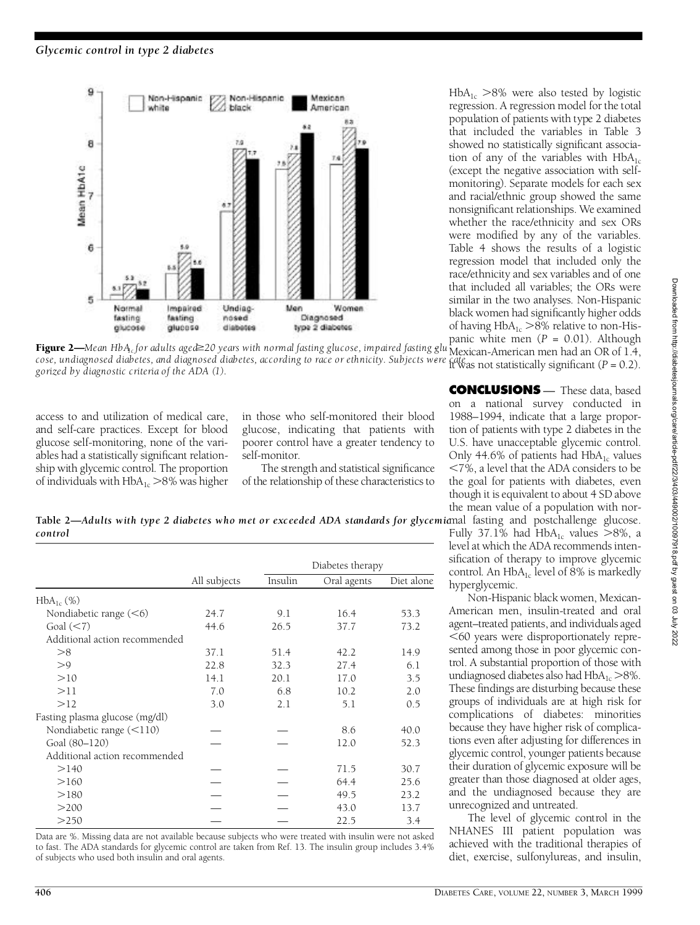

panic white men (*P* = 0.01). Although **Figure 2—**Mean HbA<sub>tc</sub>for adults aged≥20 years with normal fasting glucose, impaired fasting glu<sup>pance</sup> and the merican men had an OR of 1.4, cose, undiagnosed diabetes, and diagnosed diabetes, according to race or ethnicity. Subjects were cate *all all the firm that all 5336333*.<br>corized by diagnostic criteria of the ADA (1) *gorized by diagnostic criteria of the ADA (1).*

access to and utilization of medical care , and self-care practices. Except for blood glucose self-monitoring, none of the variables had a statistically significant relationship with glycemic control. The proportion of individuals with  $HbA_{1c}$   $>$ 8% was higher

in those who self-monitored their blood glucose, indicating that patients with poorer control have a greater tendency to self-monitor.

The strength and statistical significance of the relationship of these characteristics to

**CONCLUSIONS** — These data, based

on a national survey conducted in 1988–1994, indicate that a large proportion of patients with type 2 diabetes in the U.S. have unacceptable glycemic control. Only 44.6% of patients had  $HbA_{1c}$  values ,7%, a level that the ADA considers to be the goal for patients with diabetes, even though it is equivalent to about 4 SD above the mean value of a population with nor-

 $H b A_{1c}$  >8% were also tested by logistic regression. A regression model for the total population of patients with type 2 diabetes that included the variables in Table 3 showed no statistically significant association of any of the variables with  $HbA_{1c}$ (except the negative association with selfmonitoring). Separate models for each sex and racial/ethnic group showed the same non significant relationships. We examined whether the race/ethnicity and sex ORs were modified by any of the variables. Table 4 shows the results of a logistic regression model that included only the race/ethnicity and sex variables and of one that included all variables; the ORs were similar in the two analyses. Non-Hispanic black women had significantly higher odds of having  $HbA_{1c}$  >8% relative to non-His-

Fully 37.1% had  $HbA_{1c}$  values  $>8\%$ , a level at which the ADA recommends intensification of therapy to improve glycemic control. An  $HbA_{1c}$  level of 8% is markedly hyperglycemic.

Non-Hispanic black women, Mexican-American men, insulin-treated and oral agent-treated patients, and individuals aged  $<$  60 years were disproportionately represented among those in poor glycemic control. A substantial proportion of those with undiagnosed diabetes also had  $HbA_{1c} > 8\%$ . These findings are disturbing because these groups of individuals are at high risk for complications of diabetes: minorities because they have higher risk of complications even after adjusting for differences in glycemic control, younger patients because their duration of glycemic exposure will be greater than those diagnosed at older ages, and the undiagnosed because they are unrecognized and untreated.

The level of glycemic control in the NHANES III patient population was achieved with the traditional therapies of diet, exercise, sulfonylureas, and insulin,

Downloaded from http://diabetesjournals.org/care/article-pdf/22/3/403/449002/10097918.pdf by guest on 03 July 2022 Downloaded from http://diabetesjournals.org/care/article-pdf/22/3/403/449002/10097918.pdf by guest on 03 July 2022

Table 2—*Adults with type 2 diabetes who met or exceeded ADA standards for glycemianal fasting and postchallenge glucose. c o n t ro l*

|                                |              |         | Diabetes therapy |            |  |
|--------------------------------|--------------|---------|------------------|------------|--|
|                                | All subjects | Insulin | Oral agents      | Diet alone |  |
| $HbA_{1c}$ (%)                 |              |         |                  |            |  |
| Nondiabetic range $(< 6)$      | 24.7         | 9.1     | 16.4             | 53.3       |  |
| Goal $(< 7)$                   | 44.6         | 26.5    | 37.7             | 73.2       |  |
| Additional action recommended  |              |         |                  |            |  |
| >8                             | 37.1         | 51.4    | 42.2             | 14.9       |  |
| >9                             | 22.8         | 32.3    | 27.4             | 6.1        |  |
| >10                            | 14.1         | 20.1    | 17.0             | 3.5        |  |
| >11                            | 7.0          | 6.8     | 10.2             | 2.0        |  |
| >12                            | 3.0          | 2.1     | 5.1              | 0.5        |  |
| Fasting plasma glucose (mg/dl) |              |         |                  |            |  |
| Nondiabetic range $(\leq 110)$ |              |         | 8.6              | 40.0       |  |
| Goal (80-120)                  |              |         | 12.0             | 52.3       |  |
| Additional action recommended  |              |         |                  |            |  |
| >140                           |              |         | 71.5             | 30.7       |  |
| >160                           |              |         | 64.4             | 25.6       |  |
| >180                           |              |         | 49.5             | 23.2       |  |
| >200                           |              |         | 43.0             | 13.7       |  |
| >250                           |              |         | 22.5             | 3.4        |  |

Data are %. Missing data are not available because subjects who were treated with insulin were not asked to fast. The ADA standards for glycemic control are taken from Ref. 13. The insulin group includes 3.4% of subjects who used both insulin and oral agents.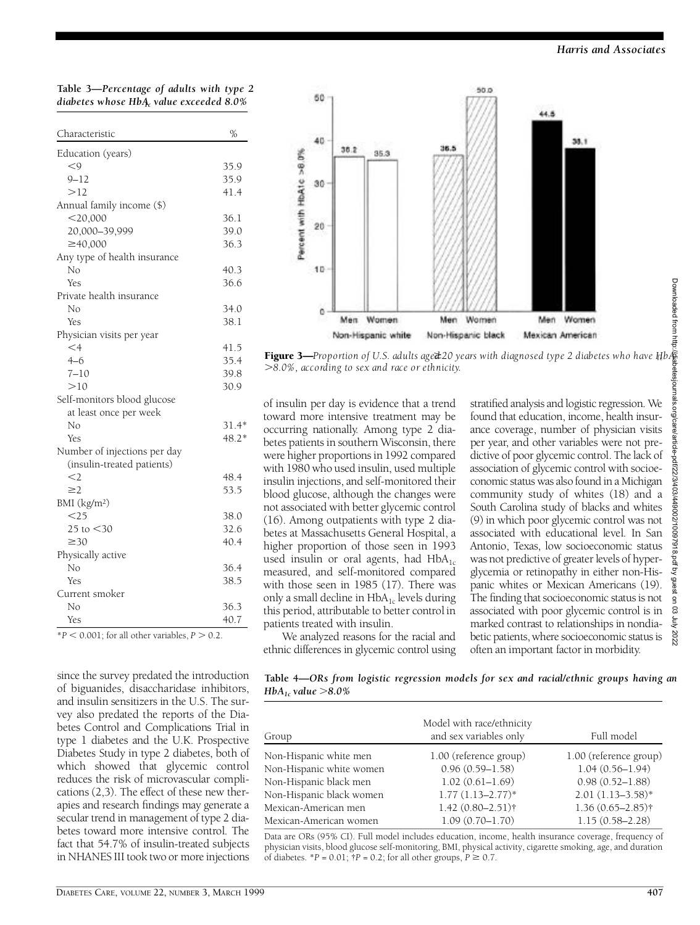**Table 3—***Percentage of adults with type 2 diabetes whose HbA1c value exceeded 8.0%*

| Characteristic               | %       |
|------------------------------|---------|
| Education (years)            |         |
| $<$ 9                        | 35.9    |
| $9 - 12$                     | 35.9    |
| >12                          | 41.4    |
| Annual family income (\$)    |         |
| $<$ 20,000                   | 36.1    |
| 20,000-39,999                | 39.0    |
| ≥40,000                      | 36.3    |
| Any type of health insurance |         |
| Nο                           | 40.3    |
| <b>Yes</b>                   | 36.6    |
| Private health insurance     |         |
| Nο                           | 34.0    |
| <b>Yes</b>                   | 38.1    |
| Physician visits per year    |         |
| $\leq$ 4                     | 41.5    |
| $4 - 6$                      | 35.4    |
| $7 - 10$                     | 39.8    |
| >10                          | 30.9    |
| Self-monitors blood glucose  |         |
| at least once per week       |         |
| No                           | $31.4*$ |
| Yes                          | $48.2*$ |
| Number of injections per day |         |
| (insulin-treated patients)   |         |
| $<$ 2                        | 48.4    |
| $\geq$ 2                     | 53.5    |
| BMI $(kg/m2)$                |         |
| $<$ 25                       | 38.0    |
| 25 to $<$ 30                 | 32.6    |
| $\geq 30$                    | 40.4    |
| Physically active            |         |
| Nο                           | 36.4    |
| Yes                          | 38.5    |
| Current smoker               |         |
| Nο                           | 36.3    |
| Yes                          | 40.7    |

 $*P < 0.001$ ; for all other variables,  $P > 0.2$ .

since the survey predated the introduction of biguanides, disaccharidase inhibitors, and insulin sensitizers in the U.S. The survey also predated the reports of the Diabetes Control and Complications Trial in type 1 diabetes and the U.K. Prospective Diabetes Study in type 2 diabetes, both of which showed that glycemic control reduces the risk of microvascular complications (2,3). The effect of these new therapies and research findings may generate a secular trend in management of type 2 diabetes toward more intensive control. The fact that 54.7% of insulin-treated subjects in NHANES III took two or more injections



Figure 3—*Proportion of U.S. adults aged* \$*20 years with diagnosed type 2 diabetes who have HbA 1c* .*8.0%, according to sex and race or ethnicity.*

of insulin per day is evidence that a trend toward more intensive treatment may be occurring nationally. Among type 2 diabetes patients in southern Wisconsin, there were higher proportions in 1992 compared with 1980 who used insulin, used multiple insulin injections, and self-monitored their blood glucose, although the changes were not associated with better glycemic control (16). Among outpatients with type 2 diabetes at Massachusetts General Hospital, a higher proportion of those seen in 1993 used insulin or oral agents, had  $HbA_{1c}$ measured, and self-monitored compared with those seen in 1985 (17). There was only a small decline in  $HbA_{1c}$  levels during this period, attributable to better control in patients treated with insulin.

We analyzed reasons for the racial and ethnic differences in glycemic control using

stratified analysis and logistic regression. We found that education, income, health insurance coverage, number of physician visits per year, and other variables were not predictive of poor glycemic control. The lack of association of glycemic control with socioeconomic status was also found in a Michigan community study of whites (18) and a South Carolina study of blacks and whites (9) in which poor glycemic control was not associated with educational level. In San Antonio, Texas, low socioeconomic status was not predictive of greater levels of hyperglycemia or retinopathy in either non-Hispanic whites or Mexican Americans (19). The finding that socioeconomic status is not associated with poor glycemic control is in marked contrast to relationships in nondiabetic patients, where socioeconomic status is often an important factor in morbidity.

**Table 4—***ORs from logistic regression models for sex and racial/ethnic groups having an HbA1c value* .*8.0%*

| Group                    | Model with race/ethnicity<br>and sex variables only | Full model             |
|--------------------------|-----------------------------------------------------|------------------------|
| Non-Hispanic white men   | 1.00 (reference group)                              | 1.00 (reference group) |
| Non-Hispanic white women | $0.96(0.59 - 1.58)$                                 | $1.04(0.56 - 1.94)$    |
| Non-Hispanic black men   | $1.02(0.61 - 1.69)$                                 | $0.98(0.52 - 1.88)$    |
| Non-Hispanic black women | $1.77(1.13 - 2.77)*$                                | $2.01(1.13-3.58)$ *    |
| Mexican-American men     | $1.42(0.80 - 2.51)$ †                               | $1.36(0.65 - 2.85)$ †  |
| Mexican-American women   | $1.09(0.70 - 1.70)$                                 | $1.15(0.58 - 2.28)$    |

Data are ORs (95% CI). Full model includes education, income, health insurance coverage, frequency of physician visits, blood glucose self-monitoring, BMI, physical activity, cigarette smoking, age, and duration of diabetes.  $^*P = 0.01$ ;  $^*P = 0.2$ ; for all other groups,  $P \ge 0.7$ .